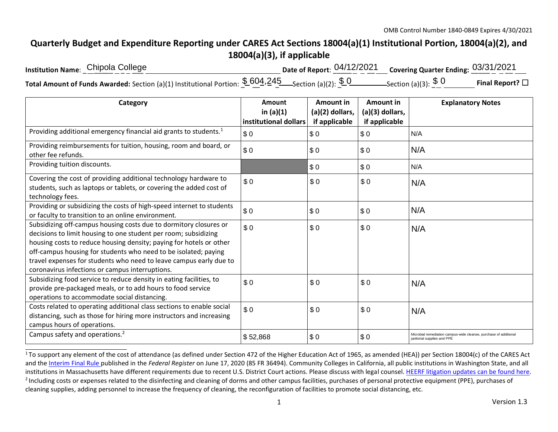## **Quarterly Budget and Expenditure Reporting under CARES Act Sections 18004(a)(1) Institutional Portion, 18004(a)(2), and 18004(a)(3), if applicable**

| Institution Name: Chipola College | Date of Report: $04/12/2021$ Covering Quarter Ending: $03/31/2021$ |                      |
|-----------------------------------|--------------------------------------------------------------------|----------------------|
|                                   |                                                                    | Final Report? $\Box$ |

| Category                                                                                                                                                                                                                                                                                                                                                                                                | Amount<br>in $(a)(1)$<br>institutional dollars | Amount in<br>$(a)(2)$ dollars,<br>if applicable | Amount in<br>(a)(3) dollars,<br>if applicable | <b>Explanatory Notes</b>                                                                         |
|---------------------------------------------------------------------------------------------------------------------------------------------------------------------------------------------------------------------------------------------------------------------------------------------------------------------------------------------------------------------------------------------------------|------------------------------------------------|-------------------------------------------------|-----------------------------------------------|--------------------------------------------------------------------------------------------------|
| Providing additional emergency financial aid grants to students. <sup>1</sup>                                                                                                                                                                                                                                                                                                                           | \$0                                            | \$0                                             | \$0                                           | N/A                                                                                              |
| Providing reimbursements for tuition, housing, room and board, or<br>other fee refunds.                                                                                                                                                                                                                                                                                                                 | \$0                                            | \$0                                             | \$0                                           | N/A                                                                                              |
| Providing tuition discounts.                                                                                                                                                                                                                                                                                                                                                                            |                                                | \$0                                             | \$0                                           | N/A                                                                                              |
| Covering the cost of providing additional technology hardware to<br>students, such as laptops or tablets, or covering the added cost of<br>technology fees.                                                                                                                                                                                                                                             | \$0                                            | \$0                                             | \$0                                           | N/A                                                                                              |
| Providing or subsidizing the costs of high-speed internet to students<br>or faculty to transition to an online environment.                                                                                                                                                                                                                                                                             | \$0                                            | \$0                                             | \$0                                           | N/A                                                                                              |
| Subsidizing off-campus housing costs due to dormitory closures or<br>decisions to limit housing to one student per room; subsidizing<br>housing costs to reduce housing density; paying for hotels or other<br>off-campus housing for students who need to be isolated; paying<br>travel expenses for students who need to leave campus early due to<br>coronavirus infections or campus interruptions. | \$0                                            | \$0                                             | \$0                                           | N/A                                                                                              |
| Subsidizing food service to reduce density in eating facilities, to<br>provide pre-packaged meals, or to add hours to food service<br>operations to accommodate social distancing.                                                                                                                                                                                                                      | \$0                                            | \$0                                             | \$0                                           | N/A                                                                                              |
| Costs related to operating additional class sections to enable social<br>distancing, such as those for hiring more instructors and increasing<br>campus hours of operations.                                                                                                                                                                                                                            | \$0                                            | \$0                                             | \$0                                           | N/A                                                                                              |
| Campus safety and operations. <sup>2</sup>                                                                                                                                                                                                                                                                                                                                                              | \$52,868                                       | \$0                                             | \$0                                           | Microbial remediation campus-wide cleanse, purchase of additional<br>janitorial supplies and PPE |

<sup>&</sup>lt;sup>1</sup>To support any element of the cost of attendance (as defined under Section 472 of the Higher Education Act of 1965, as amended (HEA)) per Section 18004(c) of the CARES Act and the Interim Final Rule published in the *Federal Register* on June 17, 2020 (85 FR 36494). Community Colleges in California, all public institutions in Washington State, and all institutions in Massachusetts have different requirements due to recent U.S. District Court actions. Please discuss with legal counsel. HEERF litigation updates can be found here. <sup>2</sup> Including costs or expenses related to the disinfecting and cleaning of dorms and other campus facilities, purchases of personal protective equipment (PPE), purchases of cleaning supplies, adding personnel to increase the frequency of cleaning, the reconfiguration of facilities to promote social distancing, etc.